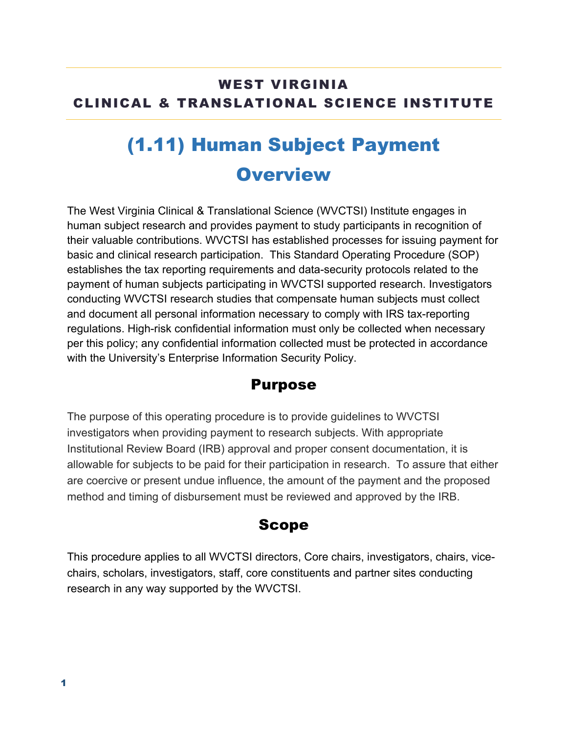### WEST VIRGINIA CLINICAL & TRANSLATIONAL SCIENCE INSTITUTE

# (1.11) Human Subject Payment **Overview**

The West Virginia Clinical & Translational Science (WVCTSI) Institute engages in human subject research and provides payment to study participants in recognition of their valuable contributions. WVCTSI has established processes for issuing payment for basic and clinical research participation. This Standard Operating Procedure (SOP) establishes the tax reporting requirements and data-security protocols related to the payment of human subjects participating in WVCTSI supported research. Investigators conducting WVCTSI research studies that compensate human subjects must collect and document all personal information necessary to comply with IRS tax-reporting regulations. High-risk confidential information must only be collected when necessary per this policy; any confidential information collected must be protected in accordance with the University's Enterprise Information Security Policy.

### Purpose

The purpose of this operating procedure is to provide guidelines to WVCTSI investigators when providing payment to research subjects. With appropriate Institutional Review Board (IRB) approval and proper consent documentation, it is allowable for subjects to be paid for their participation in research. To assure that either are coercive or present undue influence, the amount of the payment and the proposed method and timing of disbursement must be reviewed and approved by the IRB.

### Scope

This procedure applies to all WVCTSI directors, Core chairs, investigators, chairs, vicechairs, scholars, investigators, staff, core constituents and partner sites conducting research in any way supported by the WVCTSI.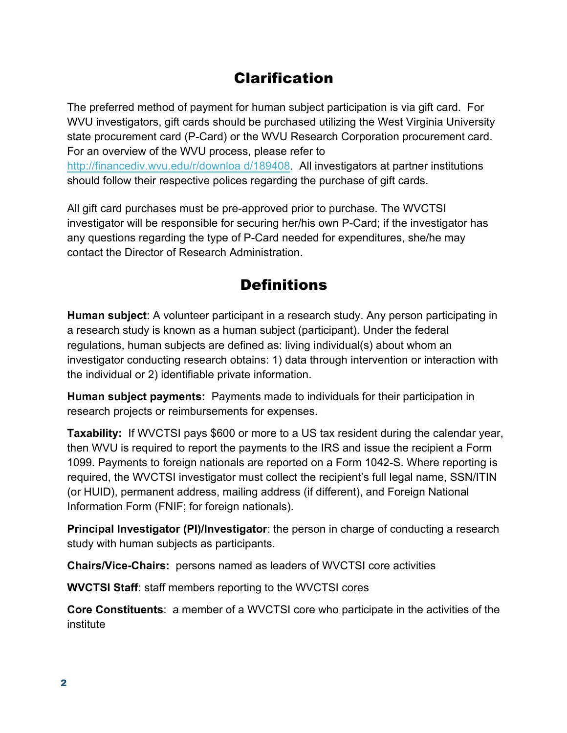### Clarification

The preferred method of payment for human subject participation is via gift card. For WVU investigators, gift cards should be purchased utilizing the West Virginia University state procurement card (P-Card) or the WVU Research Corporation procurement card. For an overview of the WVU process, please refer to http://financediv.wvu.edu/r/downloa d/189408. All investigators at partner institutions should follow their respective polices regarding the purchase of gift cards.

All gift card purchases must be pre-approved prior to purchase. The WVCTSI investigator will be responsible for securing her/his own P-Card; if the investigator has any questions regarding the type of P-Card needed for expenditures, she/he may contact the Director of Research Administration.

### **Definitions**

**Human subject**: A volunteer participant in a research study. Any person participating in a research study is known as a human subject (participant). Under the federal regulations, human subjects are defined as: living individual(s) about whom an investigator conducting research obtains: 1) data through intervention or interaction with the individual or 2) identifiable private information.

**Human subject payments:** Payments made to individuals for their participation in research projects or reimbursements for expenses.

**Taxability:** If WVCTSI pays \$600 or more to a US tax resident during the calendar year, then WVU is required to report the payments to the IRS and issue the recipient a Form 1099. Payments to foreign nationals are reported on a Form 1042-S. Where reporting is required, the WVCTSI investigator must collect the recipient's full legal name, SSN/ITIN (or HUID), permanent address, mailing address (if different), and Foreign National Information Form (FNIF; for foreign nationals).

**Principal Investigator (PI)/Investigator**: the person in charge of conducting a research study with human subjects as participants.

**Chairs/Vice-Chairs:** persons named as leaders of WVCTSI core activities

**WVCTSI Staff**: staff members reporting to the WVCTSI cores

**Core Constituents**: a member of a WVCTSI core who participate in the activities of the institute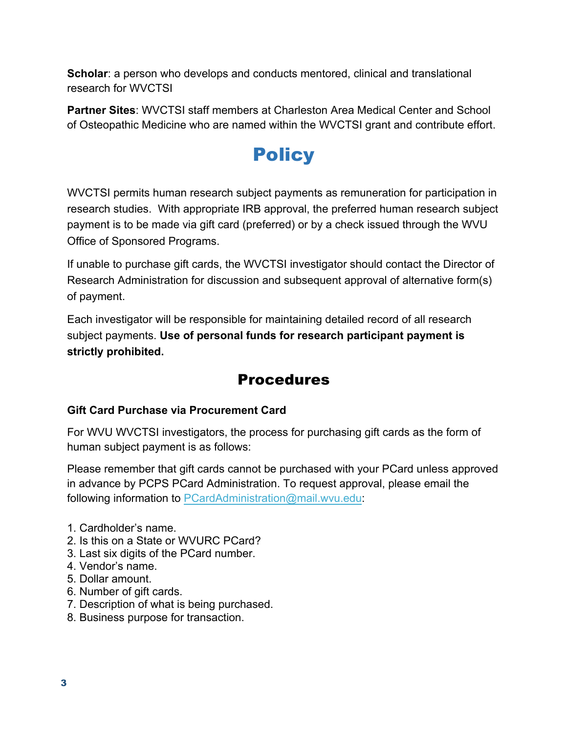**Scholar:** a person who develops and conducts mentored, clinical and translational research for WVCTSI

**Partner Sites**: WVCTSI staff members at Charleston Area Medical Center and School of Osteopathic Medicine who are named within the WVCTSI grant and contribute effort.

### **Policy**

WVCTSI permits human research subject payments as remuneration for participation in research studies. With appropriate IRB approval, the preferred human research subject payment is to be made via gift card (preferred) or by a check issued through the WVU Office of Sponsored Programs.

If unable to purchase gift cards, the WVCTSI investigator should contact the Director of Research Administration for discussion and subsequent approval of alternative form(s) of payment.

Each investigator will be responsible for maintaining detailed record of all research subject payments. **Use of personal funds for research participant payment is strictly prohibited.** 

### **Procedures**

#### **Gift Card Purchase via Procurement Card**

For WVU WVCTSI investigators, the process for purchasing gift cards as the form of human subject payment is as follows:

Please remember that gift cards cannot be purchased with your PCard unless approved in advance by PCPS PCard Administration. To request approval, please email the following information to PCardAdministration@mail.wvu.edu:

- 1. Cardholder's name.
- 2. Is this on a State or WVURC PCard?
- 3. Last six digits of the PCard number.
- 4. Vendor's name.
- 5. Dollar amount.
- 6. Number of gift cards.
- 7. Description of what is being purchased.
- 8. Business purpose for transaction.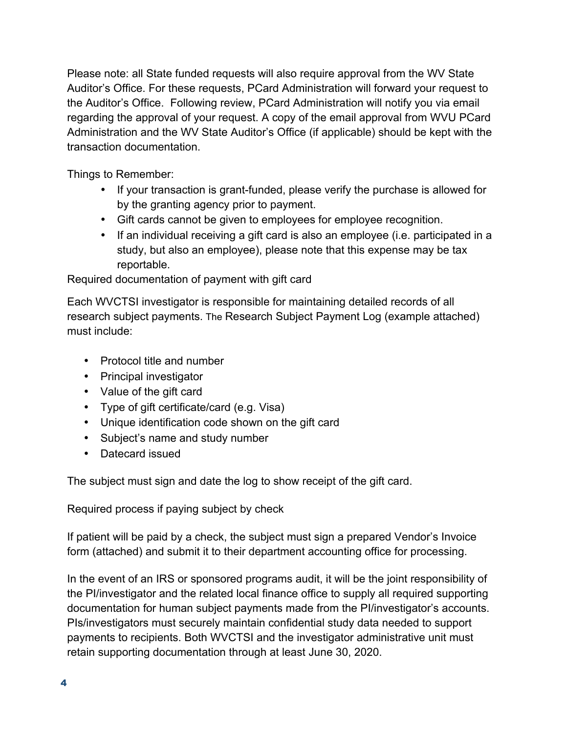Please note: all State funded requests will also require approval from the WV State Auditor's Office. For these requests, PCard Administration will forward your request to the Auditor's Office. Following review, PCard Administration will notify you via email regarding the approval of your request. A copy of the email approval from WVU PCard Administration and the WV State Auditor's Office (if applicable) should be kept with the transaction documentation.

Things to Remember:

- If your transaction is grant-funded, please verify the purchase is allowed for by the granting agency prior to payment.
- Gift cards cannot be given to employees for employee recognition.
- If an individual receiving a gift card is also an employee (i.e. participated in a study, but also an employee), please note that this expense may be tax reportable.

Required documentation of payment with gift card

Each WVCTSI investigator is responsible for maintaining detailed records of all research subject payments. The Research Subject Payment Log (example attached) must include:

- Protocol title and number
- Principal investigator
- Value of the gift card
- Type of gift certificate/card (e.g. Visa)
- Unique identification code shown on the gift card
- Subject's name and study number
- Datecard issued

The subject must sign and date the log to show receipt of the gift card.

Required process if paying subject by check

If patient will be paid by a check, the subject must sign a prepared Vendor's Invoice form (attached) and submit it to their department accounting office for processing.

In the event of an IRS or sponsored programs audit, it will be the joint responsibility of the PI/investigator and the related local finance office to supply all required supporting documentation for human subject payments made from the PI/investigator's accounts. PIs/investigators must securely maintain confidential study data needed to support payments to recipients. Both WVCTSI and the investigator administrative unit must retain supporting documentation through at least June 30, 2020.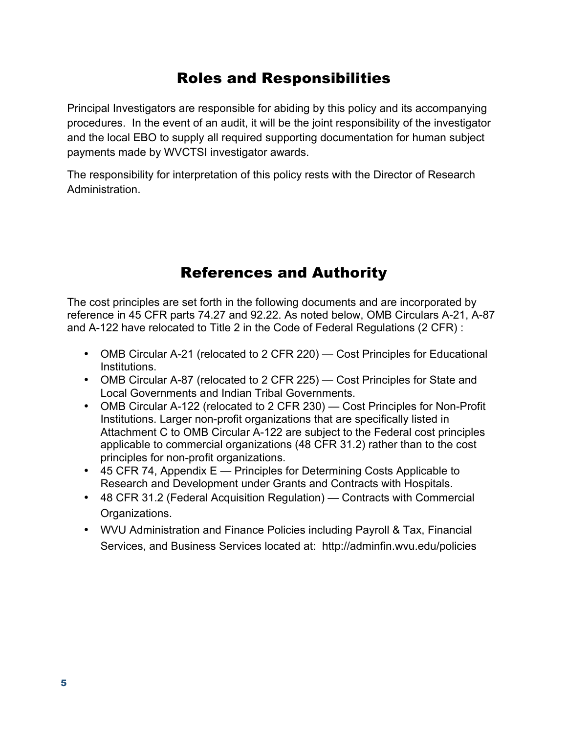### Roles and Responsibilities

Principal Investigators are responsible for abiding by this policy and its accompanying procedures. In the event of an audit, it will be the joint responsibility of the investigator and the local EBO to supply all required supporting documentation for human subject payments made by WVCTSI investigator awards.

The responsibility for interpretation of this policy rests with the Director of Research Administration.

### References and Authority

The cost principles are set forth in the following documents and are incorporated by reference in 45 CFR parts 74.27 and 92.22. As noted below, OMB Circulars A-21, A-87 and A-122 have relocated to Title 2 in the Code of Federal Regulations (2 CFR) :

- OMB Circular A-21 (relocated to 2 CFR 220) Cost Principles for Educational Institutions.
- OMB Circular A-87 (relocated to 2 CFR 225) Cost Principles for State and Local Governments and Indian Tribal Governments.
- OMB Circular A-122 (relocated to 2 CFR 230) Cost Principles for Non-Profit Institutions. Larger non-profit organizations that are specifically listed in Attachment C to OMB Circular A-122 are subject to the Federal cost principles applicable to commercial organizations (48 CFR 31.2) rather than to the cost principles for non-profit organizations.
- 45 CFR 74, Appendix E Principles for Determining Costs Applicable to Research and Development under Grants and Contracts with Hospitals.
- 48 CFR 31.2 (Federal Acquisition Regulation) Contracts with Commercial Organizations.
- WVU Administration and Finance Policies including Payroll & Tax, Financial Services, and Business Services located at: http://adminfin.wvu.edu/policies